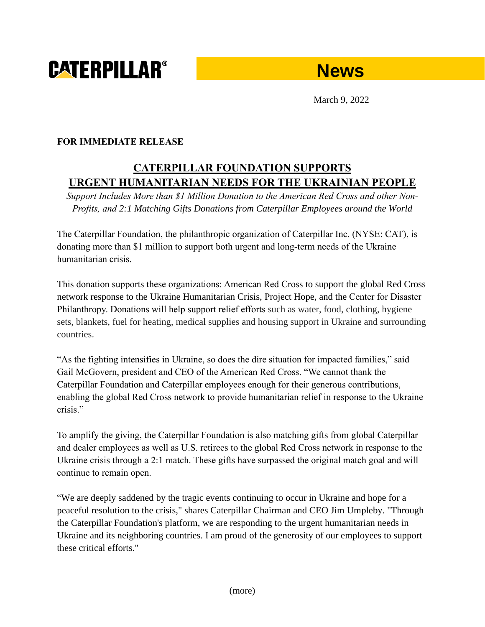# **CATERPILLAR®**



March 9, 2022

### **FOR IMMEDIATE RELEASE**

## **CATERPILLAR FOUNDATION SUPPORTS URGENT HUMANITARIAN NEEDS FOR THE UKRAINIAN PEOPLE**

*Support Includes More than \$1 Million Donation to the American Red Cross and other Non-Profits, and 2:1 Matching Gifts Donations from Caterpillar Employees around the World*

The Caterpillar Foundation, the philanthropic organization of Caterpillar Inc. (NYSE: CAT), is donating more than \$1 million to support both urgent and long-term needs of the Ukraine humanitarian crisis.

This donation supports these organizations: American Red Cross to support the global Red Cross network response to the Ukraine Humanitarian Crisis, Project Hope, and the Center for Disaster Philanthropy. Donations will help support relief efforts such as water, food, clothing, hygiene sets, blankets, fuel for heating, medical supplies and housing support in Ukraine and surrounding countries.

"As the fighting intensifies in Ukraine, so does the dire situation for impacted families," said Gail McGovern, president and CEO of the American Red Cross. "We cannot thank the Caterpillar Foundation and Caterpillar employees enough for their generous contributions, enabling the global Red Cross network to provide humanitarian relief in response to the Ukraine crisis."

To amplify the giving, the Caterpillar Foundation is also matching gifts from global Caterpillar and dealer employees as well as U.S. retirees to the global Red Cross network in response to the Ukraine crisis through a 2:1 match. These gifts have surpassed the original match goal and will continue to remain open.

"We are deeply saddened by the tragic events continuing to occur in Ukraine and hope for a peaceful resolution to the crisis," shares Caterpillar Chairman and CEO Jim Umpleby. "Through the Caterpillar Foundation's platform, we are responding to the urgent humanitarian needs in Ukraine and its neighboring countries. I am proud of the generosity of our employees to support these critical efforts."